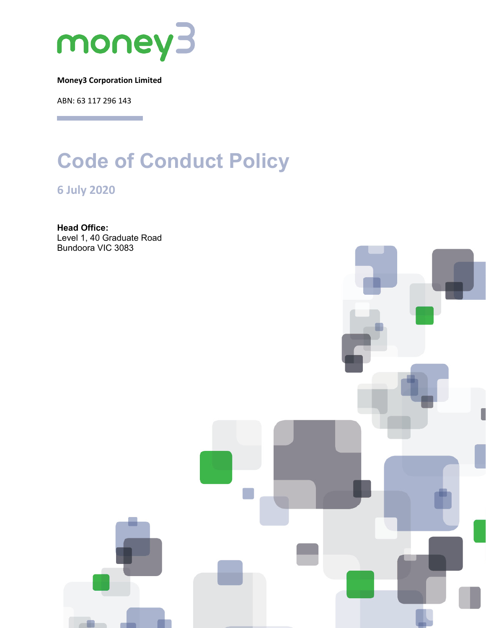

**Money3 Corporation Limited**

ABN: 63 117 296 143

# **Code of Conduct Policy**

**6 July 2020**

**Head Office:** Level 1, 40 Graduate Road Bundoora VIC 3083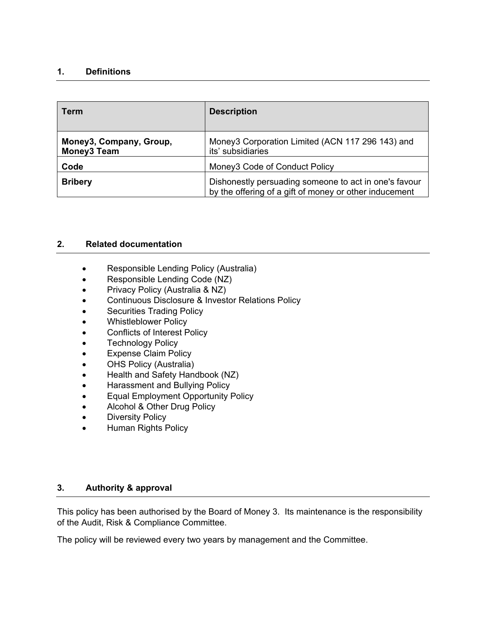#### **1. Definitions**

| <b>Term</b>                                   | <b>Description</b>                                                                                              |
|-----------------------------------------------|-----------------------------------------------------------------------------------------------------------------|
| Money3, Company, Group,<br><b>Money3 Team</b> | Money3 Corporation Limited (ACN 117 296 143) and<br>its' subsidiaries                                           |
| Code                                          | Money3 Code of Conduct Policy                                                                                   |
| <b>Bribery</b>                                | Dishonestly persuading someone to act in one's favour<br>by the offering of a gift of money or other inducement |

# **2. Related documentation**

- Responsible Lending Policy (Australia)
- Responsible Lending Code (NZ)
- Privacy Policy (Australia & NZ)
- Continuous Disclosure & Investor Relations Policy
- Securities Trading Policy
- Whistleblower Policy
- Conflicts of Interest Policy
- **Technology Policy**
- Expense Claim Policy
- OHS Policy (Australia)
- Health and Safety Handbook (NZ)
- Harassment and Bullying Policy
- Equal Employment Opportunity Policy
- Alcohol & Other Drug Policy
- Diversity Policy
- Human Rights Policy

# **3. Authority & approval**

This policy has been authorised by the Board of Money 3. Its maintenance is the responsibility of the Audit, Risk & Compliance Committee.

The policy will be reviewed every two years by management and the Committee.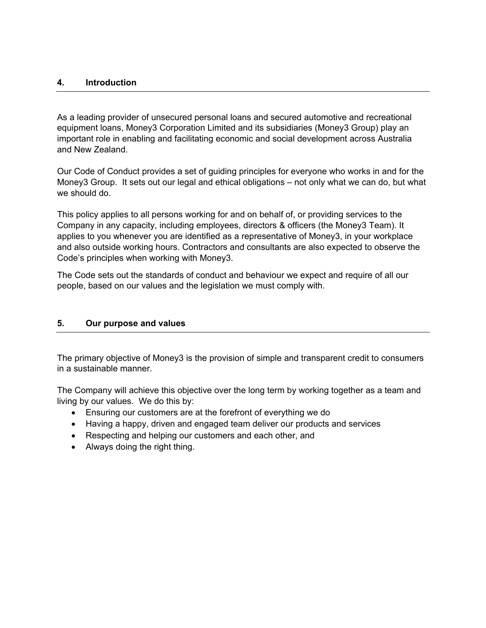#### **4. Introduction**

As a leading provider of unsecured personal loans and secured automotive and recreational equipment loans, Money3 Corporation Limited and its subsidiaries (Money3 Group) play an important role in enabling and facilitating economic and social development across Australia and New Zealand.

Our Code of Conduct provides a set of guiding principles for everyone who works in and for the Money3 Group. It sets out our legal and ethical obligations – not only what we can do, but what we should do.

This policy applies to all persons working for and on behalf of, or providing services to the Company in any capacity, including employees, directors & officers (the Money3 Team). It applies to you whenever you are identified as a representative of Money3, in your workplace and also outside working hours. Contractors and consultants are also expected to observe the Code's principles when working with Money3.

The Code sets out the standards of conduct and behaviour we expect and require of all our people, based on our values and the legislation we must comply with.

#### **5. Our purpose and values**

The primary objective of Money3 is the provision of simple and transparent credit to consumers in a sustainable manner.

The Company will achieve this objective over the long term by working together as a team and living by our values. We do this by:

- Ensuring our customers are at the forefront of everything we do
- Having a happy, driven and engaged team deliver our products and services
- Respecting and helping our customers and each other, and
- Always doing the right thing.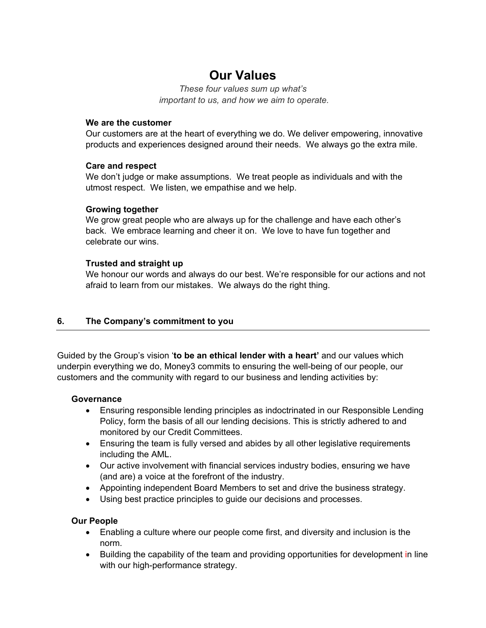# **Our Values**

*These four values sum up what's important to us, and how we aim to operate.*

#### **We are the customer**

Our customers are at the heart of everything we do. We deliver empowering, innovative products and experiences designed around their needs. We always go the extra mile.

#### **Care and respect**

We don't judge or make assumptions. We treat people as individuals and with the utmost respect. We listen, we empathise and we help.

#### **Growing together**

We grow great people who are always up for the challenge and have each other's back. We embrace learning and cheer it on. We love to have fun together and celebrate our wins.

#### **Trusted and straight up**

We honour our words and always do our best. We're responsible for our actions and not afraid to learn from our mistakes. We always do the right thing.

#### **6. The Company's commitment to you**

Guided by the Group's vision '**to be an ethical lender with a heart'** and our values which underpin everything we do, Money3 commits to ensuring the well-being of our people, our customers and the community with regard to our business and lending activities by:

#### **Governance**

- Ensuring responsible lending principles as indoctrinated in our Responsible Lending Policy, form the basis of all our lending decisions. This is strictly adhered to and monitored by our Credit Committees.
- Ensuring the team is fully versed and abides by all other legislative requirements including the AML.
- Our active involvement with financial services industry bodies, ensuring we have (and are) a voice at the forefront of the industry.
- Appointing independent Board Members to set and drive the business strategy.
- Using best practice principles to guide our decisions and processes.

#### **Our People**

- Enabling a culture where our people come first, and diversity and inclusion is the norm.
- Building the capability of the team and providing opportunities for development in line with our high-performance strategy.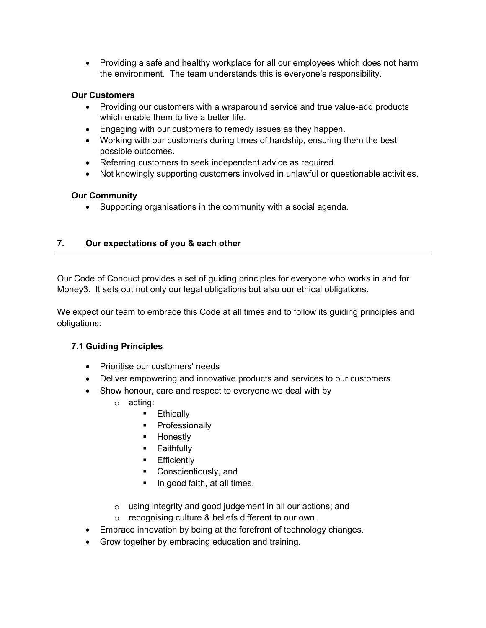• Providing a safe and healthy workplace for all our employees which does not harm the environment. The team understands this is everyone's responsibility.

#### **Our Customers**

- Providing our customers with a wraparound service and true value-add products which enable them to live a better life.
- Engaging with our customers to remedy issues as they happen.
- Working with our customers during times of hardship, ensuring them the best possible outcomes.
- Referring customers to seek independent advice as required.
- Not knowingly supporting customers involved in unlawful or questionable activities.

# **Our Community**

• Supporting organisations in the community with a social agenda*.* 

# **7. Our expectations of you & each other**

Our Code of Conduct provides a set of guiding principles for everyone who works in and for Money3. It sets out not only our legal obligations but also our ethical obligations.

We expect our team to embrace this Code at all times and to follow its guiding principles and obligations:

# **7.1 Guiding Principles**

- Prioritise our customers' needs
- Deliver empowering and innovative products and services to our customers
- Show honour, care and respect to everyone we deal with by
	- o acting:
		- **Ethically**
		- Professionally
		- **-** Honestly
		- **Faithfully**
		- **Efficiently**
		- **Conscientiously, and**
		- In good faith, at all times.
	- o using integrity and good judgement in all our actions; and
	- o recognising culture & beliefs different to our own.
- Embrace innovation by being at the forefront of technology changes.
- Grow together by embracing education and training.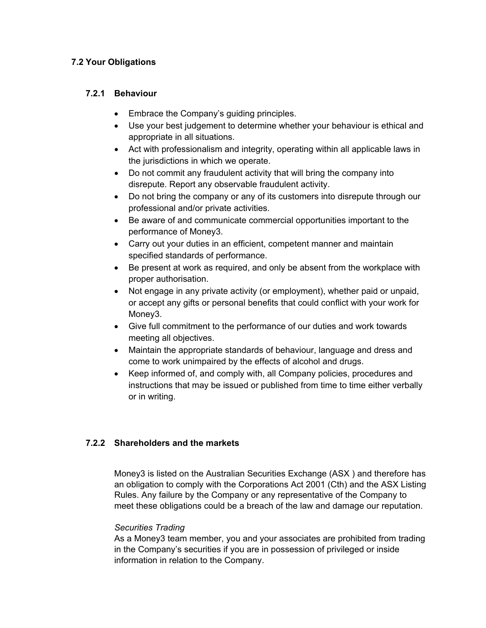# **7.2 Your Obligations**

# **7.2.1 Behaviour**

- Embrace the Company's guiding principles.
- Use your best judgement to determine whether your behaviour is ethical and appropriate in all situations.
- Act with professionalism and integrity, operating within all applicable laws in the jurisdictions in which we operate.
- Do not commit any fraudulent activity that will bring the company into disrepute. Report any observable fraudulent activity.
- Do not bring the company or any of its customers into disrepute through our professional and/or private activities.
- Be aware of and communicate commercial opportunities important to the performance of Money3.
- Carry out your duties in an efficient, competent manner and maintain specified standards of performance.
- Be present at work as required, and only be absent from the workplace with proper authorisation.
- Not engage in any private activity (or employment), whether paid or unpaid, or accept any gifts or personal benefits that could conflict with your work for Money3.
- Give full commitment to the performance of our duties and work towards meeting all objectives.
- Maintain the appropriate standards of behaviour, language and dress and come to work unimpaired by the effects of alcohol and drugs.
- Keep informed of, and comply with, all Company policies, procedures and instructions that may be issued or published from time to time either verbally or in writing.

# **7.2.2 Shareholders and the markets**

Money3 is listed on the Australian Securities Exchange (ASX ) and therefore has an obligation to comply with the Corporations Act 2001 (Cth) and the ASX Listing Rules. Any failure by the Company or any representative of the Company to meet these obligations could be a breach of the law and damage our reputation.

#### *Securities Trading*

As a Money3 team member, you and your associates are prohibited from trading in the Company's securities if you are in possession of privileged or inside information in relation to the Company.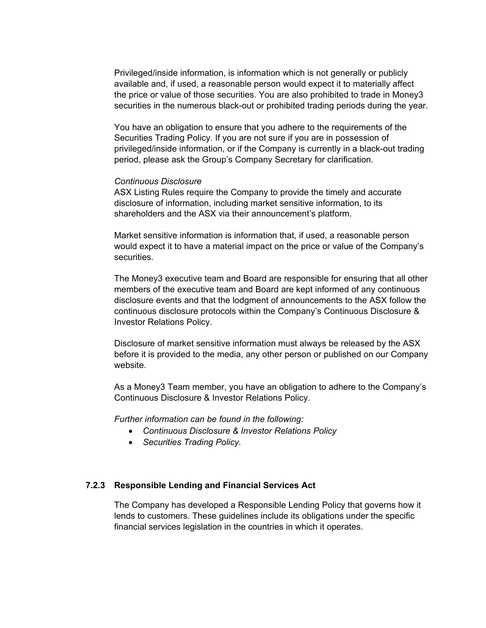Privileged/inside information, is information which is not generally or publicly available and, if used, a reasonable person would expect it to materially affect the price or value of those securities. You are also prohibited to trade in Money3 securities in the numerous black-out or prohibited trading periods during the year.

You have an obligation to ensure that you adhere to the requirements of the Securities Trading Policy. If you are not sure if you are in possession of privileged/inside information, or if the Company is currently in a black-out trading period, please ask the Group's Company Secretary for clarification.

#### *Continuous Disclosure*

ASX Listing Rules require the Company to provide the timely and accurate disclosure of information, including market sensitive information, to its shareholders and the ASX via their announcement's platform.

Market sensitive information is information that, if used, a reasonable person would expect it to have a material impact on the price or value of the Company's securities.

The Money3 executive team and Board are responsible for ensuring that all other members of the executive team and Board are kept informed of any continuous disclosure events and that the lodgment of announcements to the ASX follow the continuous disclosure protocols within the Company's Continuous Disclosure & Investor Relations Policy.

Disclosure of market sensitive information must always be released by the ASX before it is provided to the media, any other person or published on our Company website.

As a Money3 Team member, you have an obligation to adhere to the Company's Continuous Disclosure & Investor Relations Policy.

*Further information can be found in the following:*

- *Continuous Disclosure & Investor Relations Policy*
- *Securities Trading Policy.*

#### **7.2.3 Responsible Lending and Financial Services Act**

The Company has developed a Responsible Lending Policy that governs how it lends to customers. These guidelines include its obligations under the specific financial services legislation in the countries in which it operates.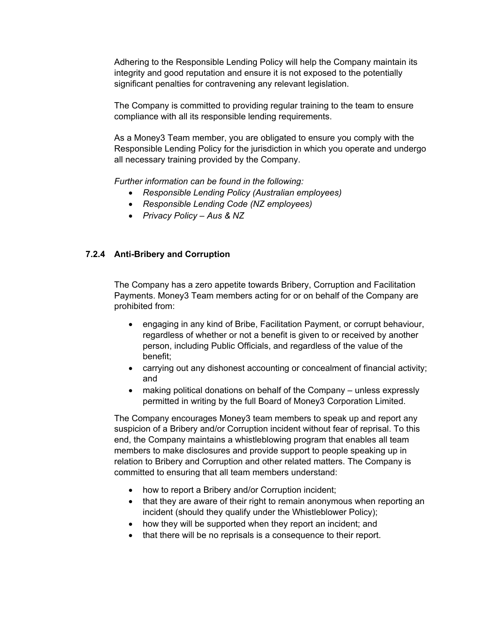Adhering to the Responsible Lending Policy will help the Company maintain its integrity and good reputation and ensure it is not exposed to the potentially significant penalties for contravening any relevant legislation.

The Company is committed to providing regular training to the team to ensure compliance with all its responsible lending requirements.

As a Money3 Team member, you are obligated to ensure you comply with the Responsible Lending Policy for the jurisdiction in which you operate and undergo all necessary training provided by the Company.

*Further information can be found in the following:*

- *Responsible Lending Policy (Australian employees)*
- *Responsible Lending Code (NZ employees)*
- *Privacy Policy – Aus & NZ*

# **7.2.4 Anti-Bribery and Corruption**

The Company has a zero appetite towards Bribery, Corruption and Facilitation Payments. Money3 Team members acting for or on behalf of the Company are prohibited from:

- engaging in any kind of Bribe, Facilitation Payment, or corrupt behaviour, regardless of whether or not a benefit is given to or received by another person, including Public Officials, and regardless of the value of the benefit;
- carrying out any dishonest accounting or concealment of financial activity; and
- making political donations on behalf of the Company unless expressly permitted in writing by the full Board of Money3 Corporation Limited.

The Company encourages Money3 team members to speak up and report any suspicion of a Bribery and/or Corruption incident without fear of reprisal. To this end, the Company maintains a whistleblowing program that enables all team members to make disclosures and provide support to people speaking up in relation to Bribery and Corruption and other related matters. The Company is committed to ensuring that all team members understand:

- how to report a Bribery and/or Corruption incident;
- that they are aware of their right to remain anonymous when reporting an incident (should they qualify under the Whistleblower Policy);
- how they will be supported when they report an incident; and
- that there will be no reprisals is a consequence to their report.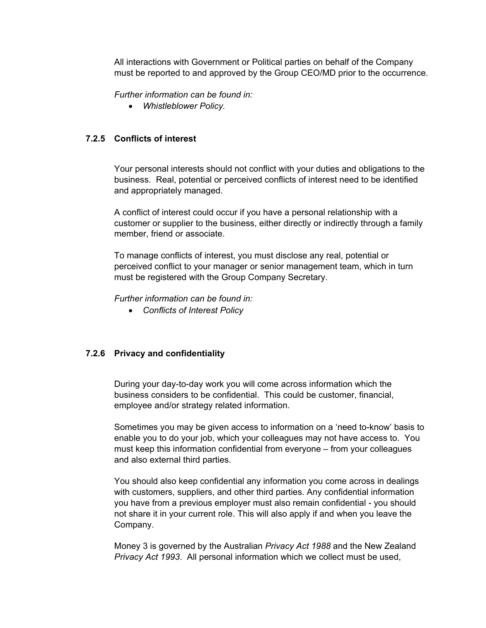All interactions with Government or Political parties on behalf of the Company must be reported to and approved by the Group CEO/MD prior to the occurrence.

*Further information can be found in:*

• *Whistleblower Policy.*

#### **7.2.5 Conflicts of interest**

Your personal interests should not conflict with your duties and obligations to the business. Real, potential or perceived conflicts of interest need to be identified and appropriately managed.

A conflict of interest could occur if you have a personal relationship with a customer or supplier to the business, either directly or indirectly through a family member, friend or associate.

To manage conflicts of interest, you must disclose any real, potential or perceived conflict to your manager or senior management team, which in turn must be registered with the Group Company Secretary.

*Further information can be found in:*

• *Conflicts of Interest Policy*

#### **7.2.6 Privacy and confidentiality**

During your day-to-day work you will come across information which the business considers to be confidential. This could be customer, financial, employee and/or strategy related information.

Sometimes you may be given access to information on a 'need to-know' basis to enable you to do your job, which your colleagues may not have access to. You must keep this information confidential from everyone – from your colleagues and also external third parties.

You should also keep confidential any information you come across in dealings with customers, suppliers, and other third parties. Any confidential information you have from a previous employer must also remain confidential - you should not share it in your current role. This will also apply if and when you leave the Company.

Money 3 is governed by the Australian *Privacy Act 1988* and the New Zealand *Privacy Act 1993*. All personal information which we collect must be used,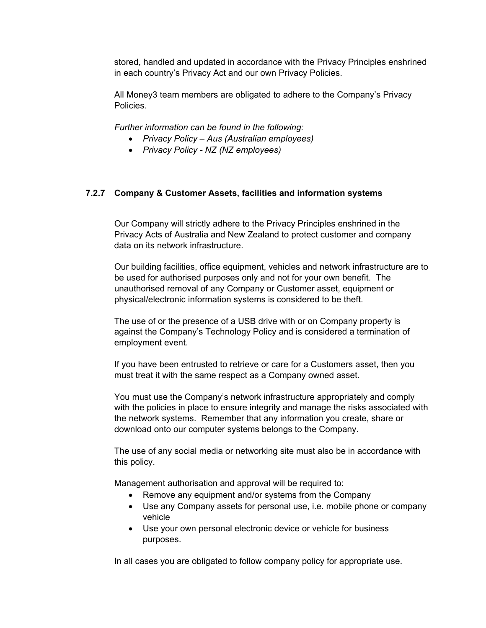stored, handled and updated in accordance with the Privacy Principles enshrined in each country's Privacy Act and our own Privacy Policies.

All Money3 team members are obligated to adhere to the Company's Privacy Policies.

*Further information can be found in the following:*

- *Privacy Policy – Aus (Australian employees)*
- *Privacy Policy - NZ (NZ employees)*

#### **7.2.7 Company & Customer Assets, facilities and information systems**

Our Company will strictly adhere to the Privacy Principles enshrined in the Privacy Acts of Australia and New Zealand to protect customer and company data on its network infrastructure.

Our building facilities, office equipment, vehicles and network infrastructure are to be used for authorised purposes only and not for your own benefit. The unauthorised removal of any Company or Customer asset, equipment or physical/electronic information systems is considered to be theft.

The use of or the presence of a USB drive with or on Company property is against the Company's Technology Policy and is considered a termination of employment event.

If you have been entrusted to retrieve or care for a Customers asset, then you must treat it with the same respect as a Company owned asset.

You must use the Company's network infrastructure appropriately and comply with the policies in place to ensure integrity and manage the risks associated with the network systems. Remember that any information you create, share or download onto our computer systems belongs to the Company.

The use of any social media or networking site must also be in accordance with this policy.

Management authorisation and approval will be required to:

- Remove any equipment and/or systems from the Company
- Use any Company assets for personal use, i.e. mobile phone or company vehicle
- Use your own personal electronic device or vehicle for business purposes.

In all cases you are obligated to follow company policy for appropriate use.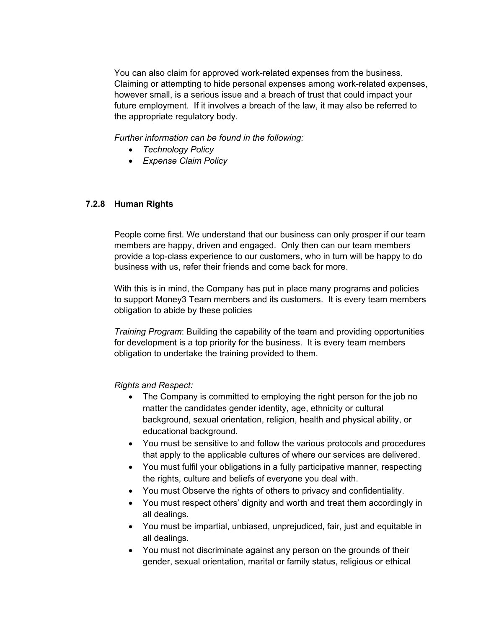You can also claim for approved work-related expenses from the business. Claiming or attempting to hide personal expenses among work-related expenses, however small, is a serious issue and a breach of trust that could impact your future employment. If it involves a breach of the law, it may also be referred to the appropriate regulatory body.

*Further information can be found in the following:*

- *Technology Policy*
- *Expense Claim Policy*

#### **7.2.8 Human Rights**

People come first. We understand that our business can only prosper if our team members are happy, driven and engaged. Only then can our team members provide a top-class experience to our customers, who in turn will be happy to do business with us, refer their friends and come back for more.

With this is in mind, the Company has put in place many programs and policies to support Money3 Team members and its customers. It is every team members obligation to abide by these policies

*Training Program*: Building the capability of the team and providing opportunities for development is a top priority for the business. It is every team members obligation to undertake the training provided to them.

#### *Rights and Respect:*

- The Company is committed to employing the right person for the job no matter the candidates gender identity, age, ethnicity or cultural background, sexual orientation, religion, health and physical ability, or educational background.
- You must be sensitive to and follow the various protocols and procedures that apply to the applicable cultures of where our services are delivered.
- You must fulfil your obligations in a fully participative manner, respecting the rights, culture and beliefs of everyone you deal with.
- You must Observe the rights of others to privacy and confidentiality.
- You must respect others' dignity and worth and treat them accordingly in all dealings.
- You must be impartial, unbiased, unprejudiced, fair, just and equitable in all dealings.
- You must not discriminate against any person on the grounds of their gender, sexual orientation, marital or family status, religious or ethical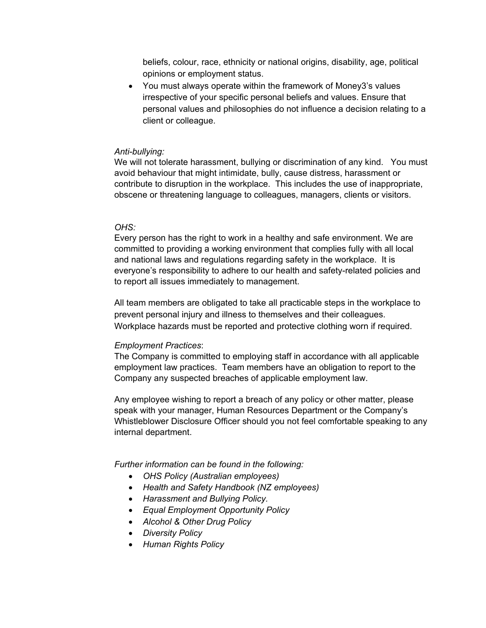beliefs, colour, race, ethnicity or national origins, disability, age, political opinions or employment status.

• You must always operate within the framework of Money3's values irrespective of your specific personal beliefs and values. Ensure that personal values and philosophies do not influence a decision relating to a client or colleague.

#### *Anti-bullying:*

We will not tolerate harassment, bullying or discrimination of any kind. You must avoid behaviour that might intimidate, bully, cause distress, harassment or contribute to disruption in the workplace. This includes the use of inappropriate, obscene or threatening language to colleagues, managers, clients or visitors.

#### *OHS:*

Every person has the right to work in a healthy and safe environment. We are committed to providing a working environment that complies fully with all local and national laws and regulations regarding safety in the workplace. It is everyone's responsibility to adhere to our health and safety-related policies and to report all issues immediately to management.

All team members are obligated to take all practicable steps in the workplace to prevent personal injury and illness to themselves and their colleagues. Workplace hazards must be reported and protective clothing worn if required.

#### *Employment Practices*:

The Company is committed to employing staff in accordance with all applicable employment law practices. Team members have an obligation to report to the Company any suspected breaches of applicable employment law.

Any employee wishing to report a breach of any policy or other matter, please speak with your manager, Human Resources Department or the Company's Whistleblower Disclosure Officer should you not feel comfortable speaking to any internal department.

*Further information can be found in the following:*

- *OHS Policy (Australian employees)*
- *Health and Safety Handbook (NZ employees)*
- *Harassment and Bullying Policy.*
- *Equal Employment Opportunity Policy*
- *Alcohol & Other Drug Policy*
- *Diversity Policy*
- *Human Rights Policy*